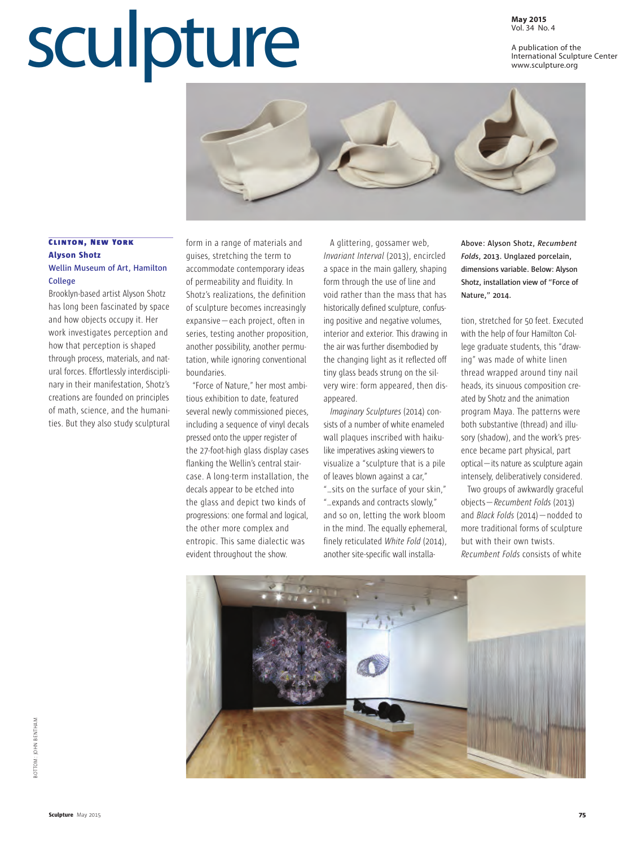## Vol. 34 No. 4

## Sculpture **May 2015**

A publication of the International Sculpture Center www.sculpture.org



## **CLINTON, NEW YORK Alyson Shotz**

## **Wellin Museum of Art, Hamilton College**

Brooklyn-based artist Alyson Shotz has long been fascinated by space and how objects occupy it. Her work investigates perception and how that perception is shaped through process, materials, and natural forces. Effortlessly interdisciplinary in their manifestation, Shotz's creations are founded on principles of math, science, and the humanities. But they also study sculptural

form in a range of materials and guises, stretching the term to accommodate contemporary ideas of permeability and fluidity. In Shotz's realizations, the definition of sculpture becomes increasingly expansive—each project, often in series, testing another proposition, another possibility, another permutation, while ignoring conventional boundaries.

"Force of Nature," her most ambitious exhibition to date, featured several newly commissioned pieces, including a sequence of vinyl decals pressed onto the upper register of the 27-foot-high glass display cases flanking the Wellin's central staircase. A long-term installation, the decals appear to be etched into the glass and depict two kinds of progressions: one formal and logical, the other more complex and entropic. This same dialectic was evident throughout the show.

A glittering, gossamer web, *Invariant Interval* (2013), encircled a space in the main gallery, shaping form through the use of line and void rather than the mass that has historically defined sculpture, confusing positive and negative volumes, interior and exterior. This drawing in the air was further disembodied by the changing light as it reflected off tiny glass beads strung on the silvery wire: form appeared, then disappeared.

*Imaginary Sculptures* (2014) consists of a number of white enameled wall plaques inscribed with haikulike imperatives asking viewers to visualize a "sculpture that is a pile of leaves blown against a car,"

"…sits on the surface of your skin," "…expands and contracts slowly," and so on, letting the work bloom in the mind. The equally ephemeral, finely reticulated *White Fold* (2014), another site-specific wall installa**Above: Alyson Shotz,** *Recumbent Folds***, 2013. Unglazed porcelain, dimensions variable. Below: Alyson Shotz, installation view of "Force of Nature," 2014.**

tion, stretched for 50 feet. Executed with the help of four Hamilton College graduate students, this "drawing" was made of white linen thread wrapped around tiny nail heads, its sinuous composition created by Shotz and the animation program Maya. The patterns were both substantive (thread) and illusory (shadow), and the work's presence became part physical, part optical—its nature as sculpture again intensely, deliberatively considered.

Two groups of awkwardly graceful objects—*Recumbent Folds* (2013) and *Black Folds* (2014)—nodded to more traditional forms of sculpture but with their own twists. *Recumbent Folds* consists of white